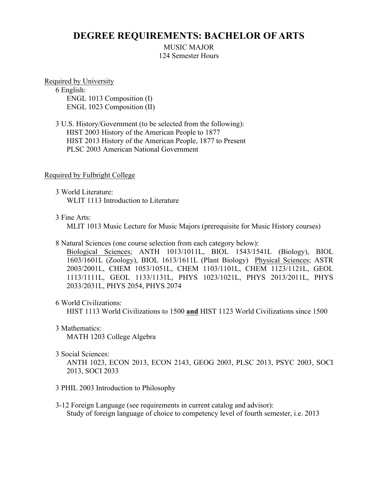# **DEGREE REQUIREMENTS: BACHELOR OF ARTS**

MUSIC MAJOR 124 Semester Hours

Required by University

6 English: ENGL 1013 Composition (I) ENGL 1023 Composition (II)

3 U.S. History/Government (to be selected from the following): HIST 2003 History of the American People to 1877 HIST 2013 History of the American People, 1877 to Present PLSC 2003 American National Government

### Required by Fulbright College

3 World Literature: WLIT 1113 Introduction to Literature

### 3 Fine Arts:

MLIT 1013 Music Lecture for Music Majors (prerequisite for Music History courses)

8 Natural Sciences (one course selection from each category below):

Biological Sciences; ANTH 1013/1011L, BIOL 1543/1541L (Biology), BIOL 1603/1601L (Zoology), BIOL 1613/1611L (Plant Biology) Physical Sciences; ASTR 2003/2001L, CHEM 1053/1051L, CHEM 1103/1101L, CHEM 1123/1121L, GEOL 1113/1111L, GEOL 1133/1131L, PHYS 1023/1021L, PHYS 2013/2011L, PHYS 2033/2031L, PHYS 2054, PHYS 2074

6 World Civilizations:

HIST 1113 World Civilizations to 1500 **and** HIST 1123 World Civilizations since 1500

3 Mathematics:

MATH 1203 College Algebra

3 Social Sciences:

ANTH 1023, ECON 2013, ECON 2143, GEOG 2003, PLSC 2013, PSYC 2003, SOCI 2013, SOCI 2033

- 3 PHIL 2003 Introduction to Philosophy
- 3-12 Foreign Language (see requirements in current catalog and advisor): Study of foreign language of choice to competency level of fourth semester, i.e. 2013